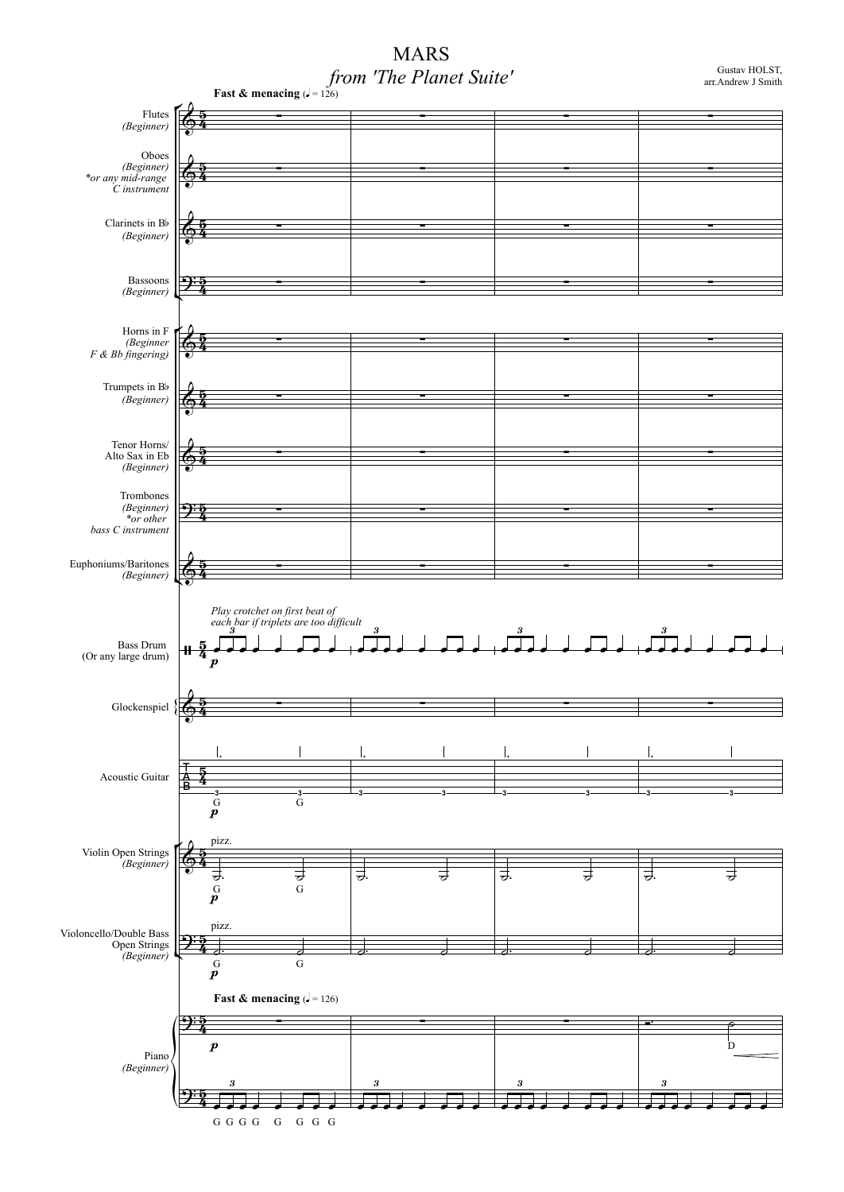MARS

Gustav HOLST, arr.Andrew J Smith

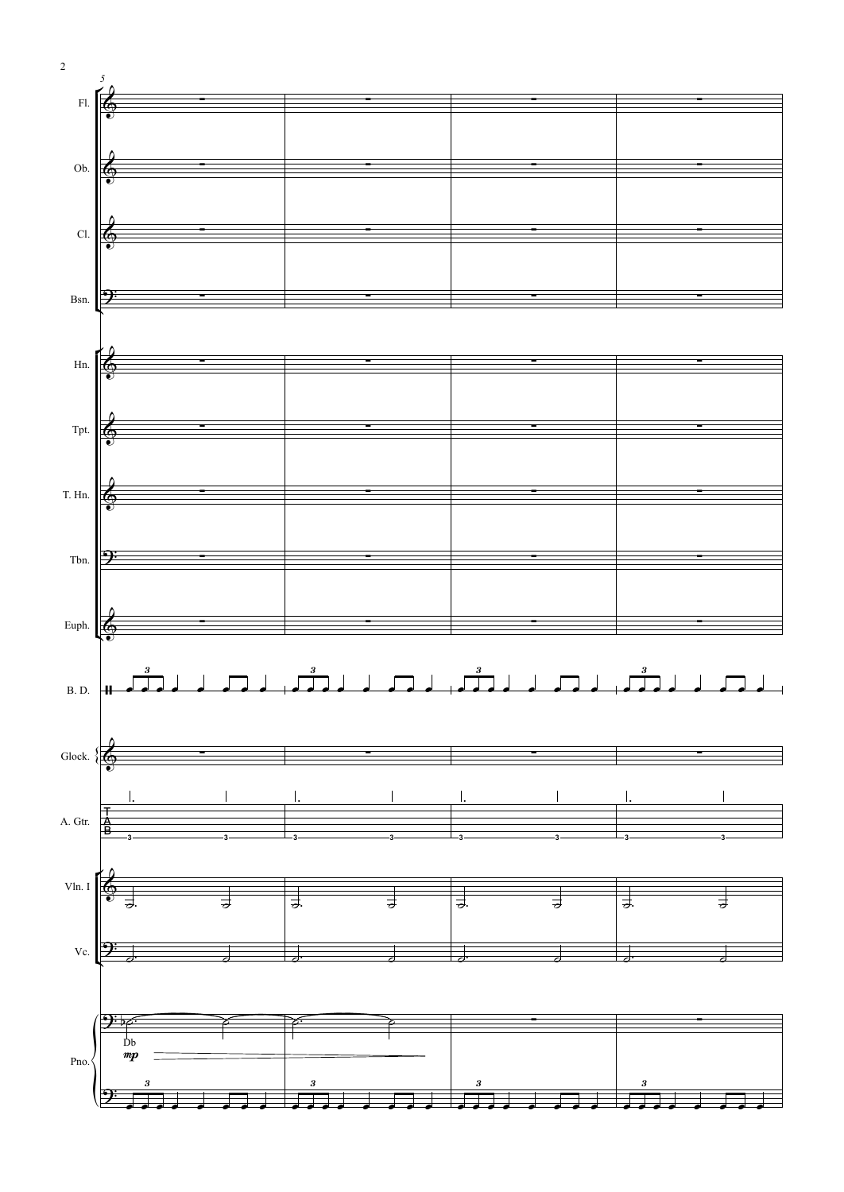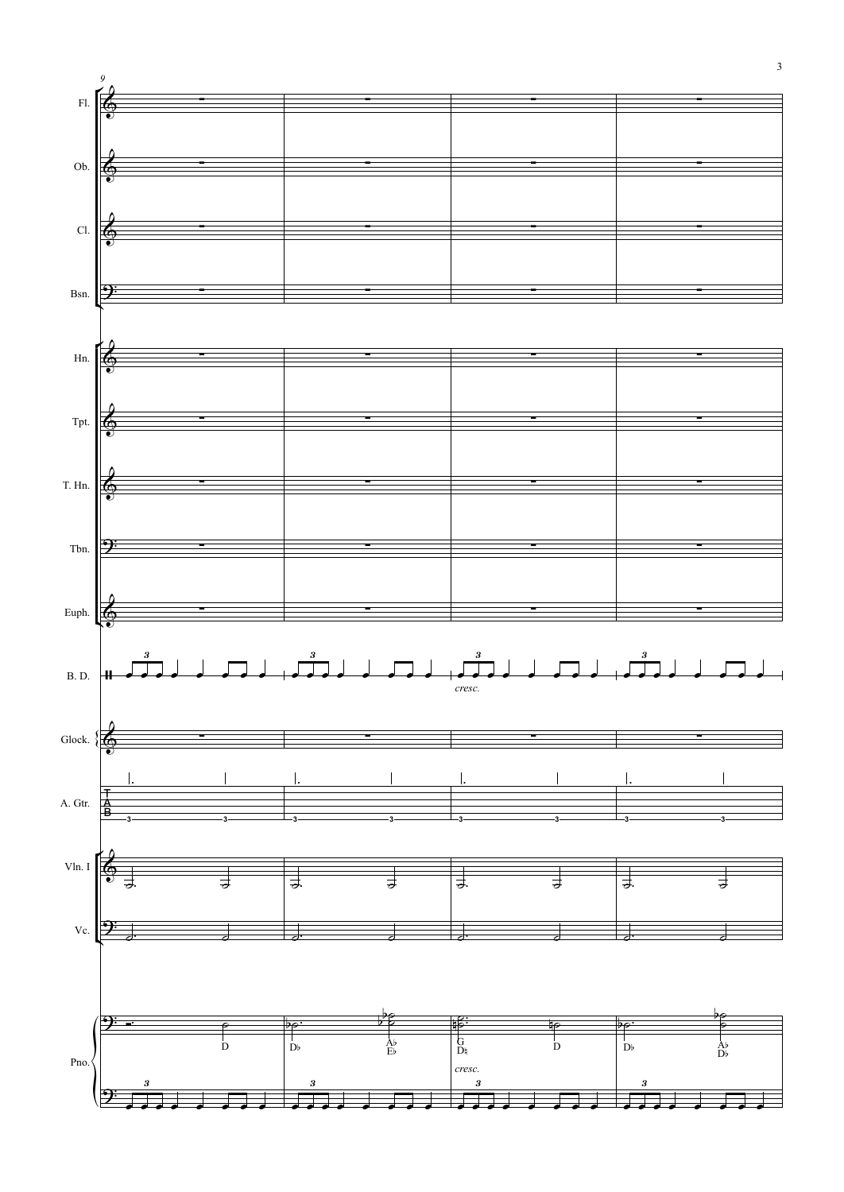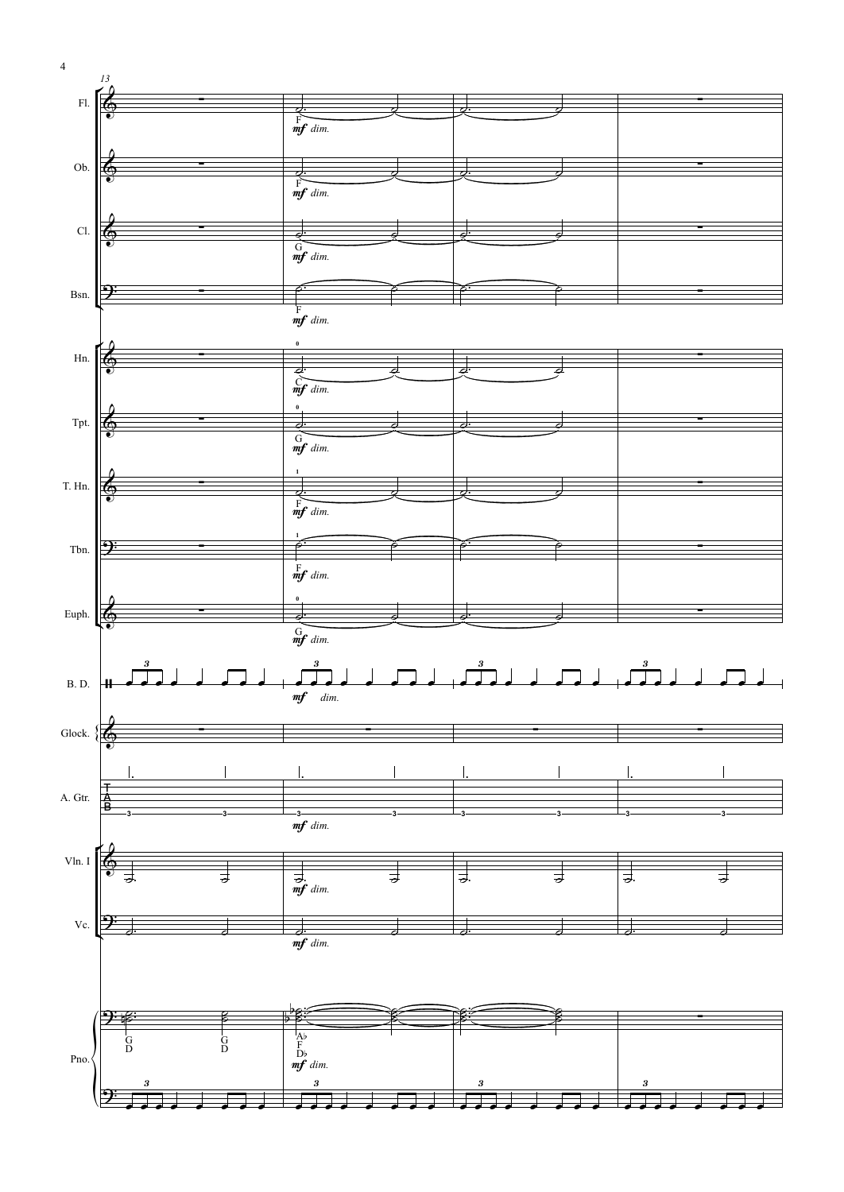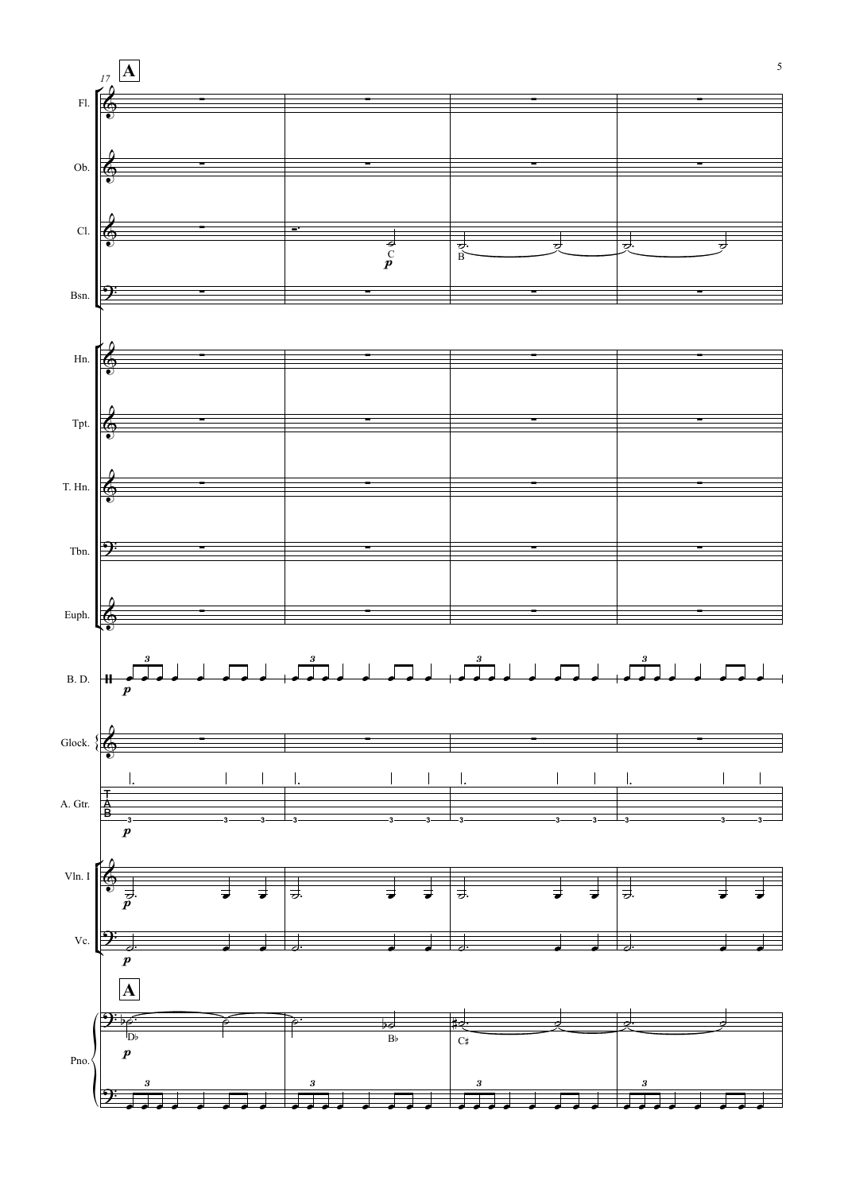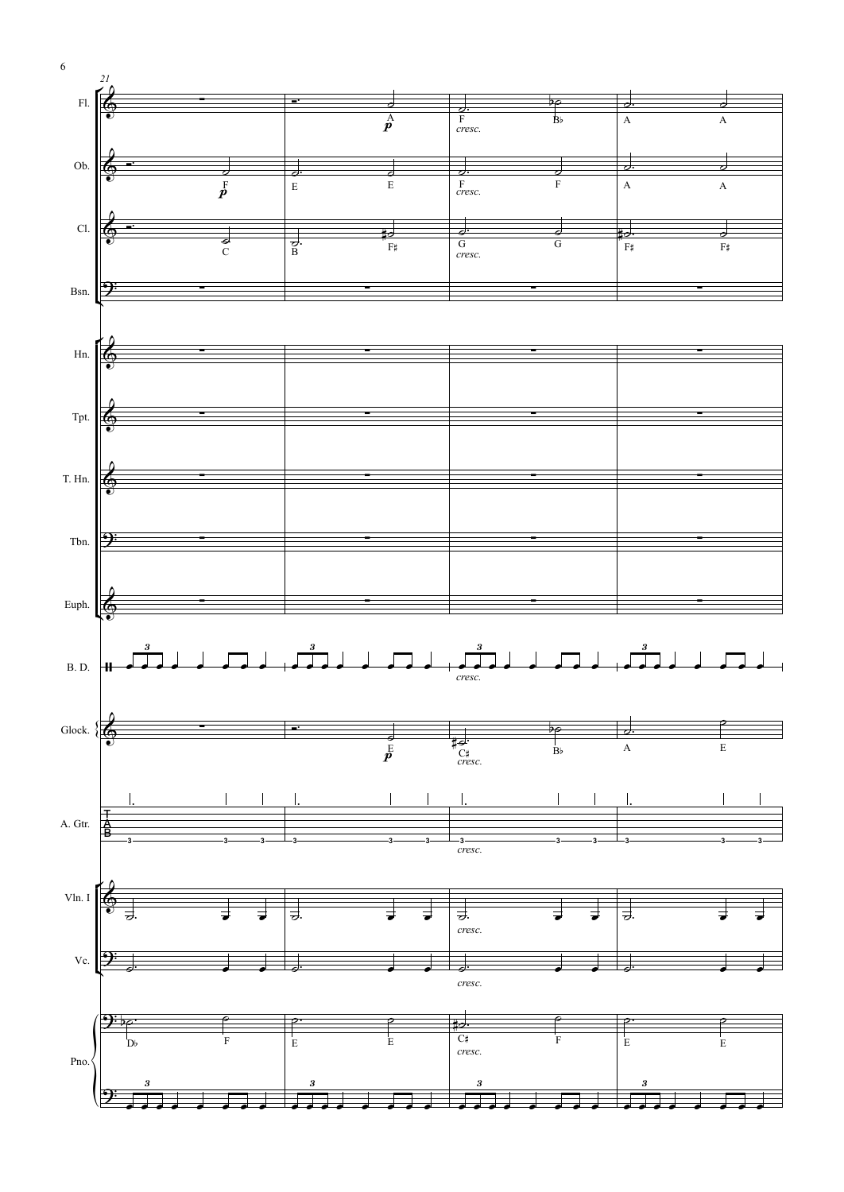![](_page_5_Figure_0.jpeg)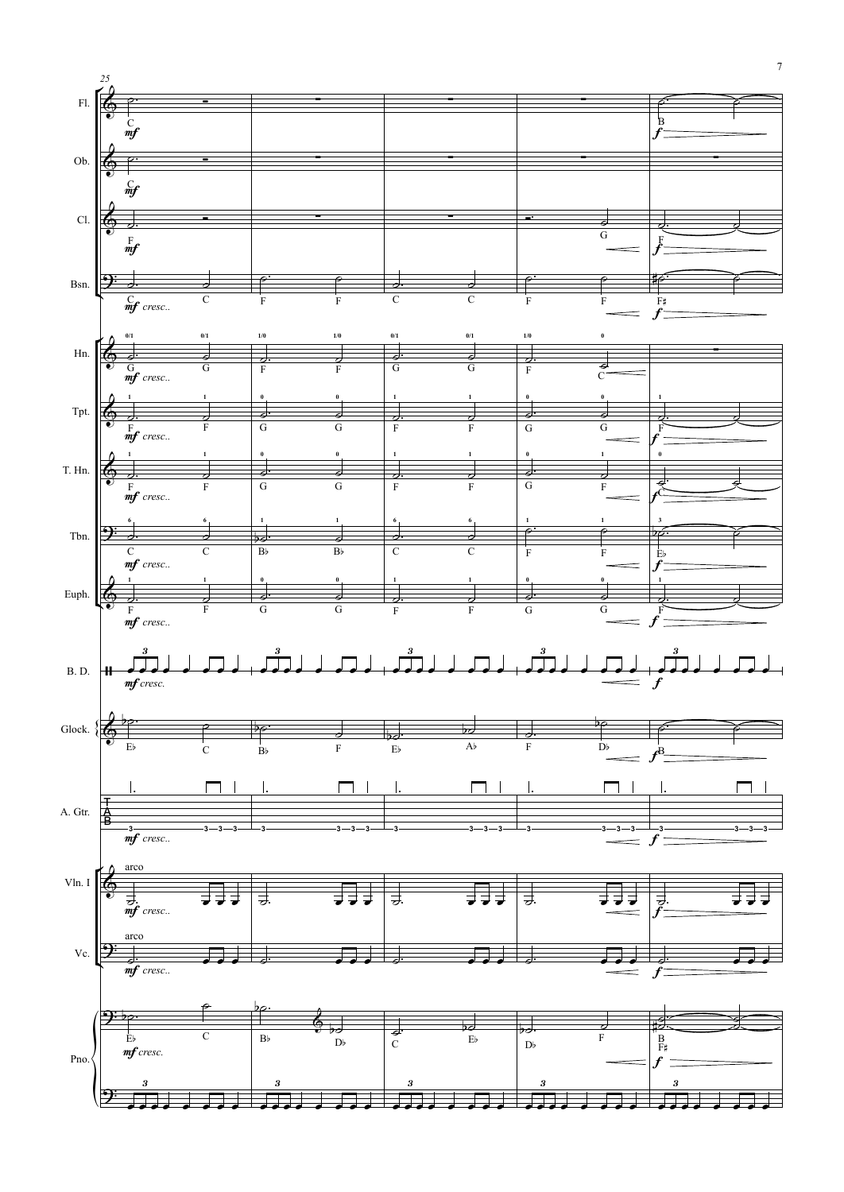![](_page_6_Figure_0.jpeg)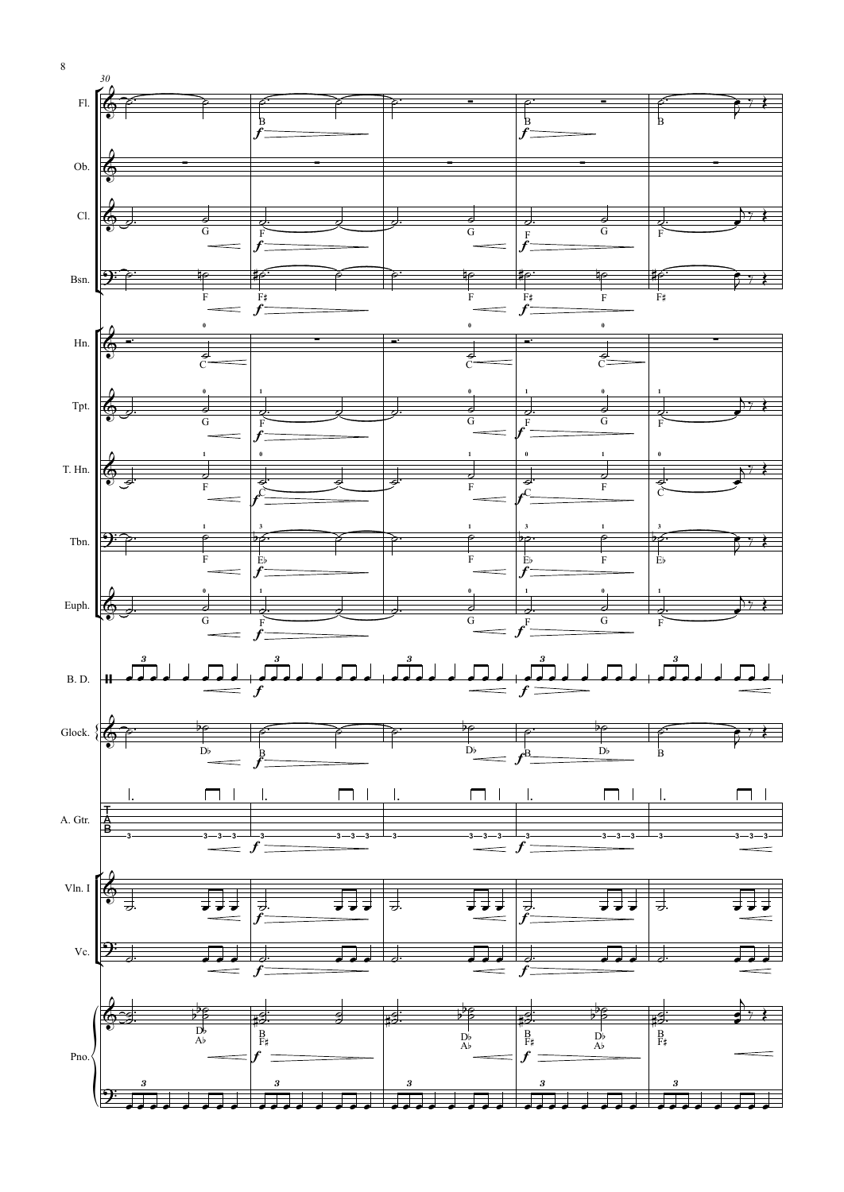![](_page_7_Figure_0.jpeg)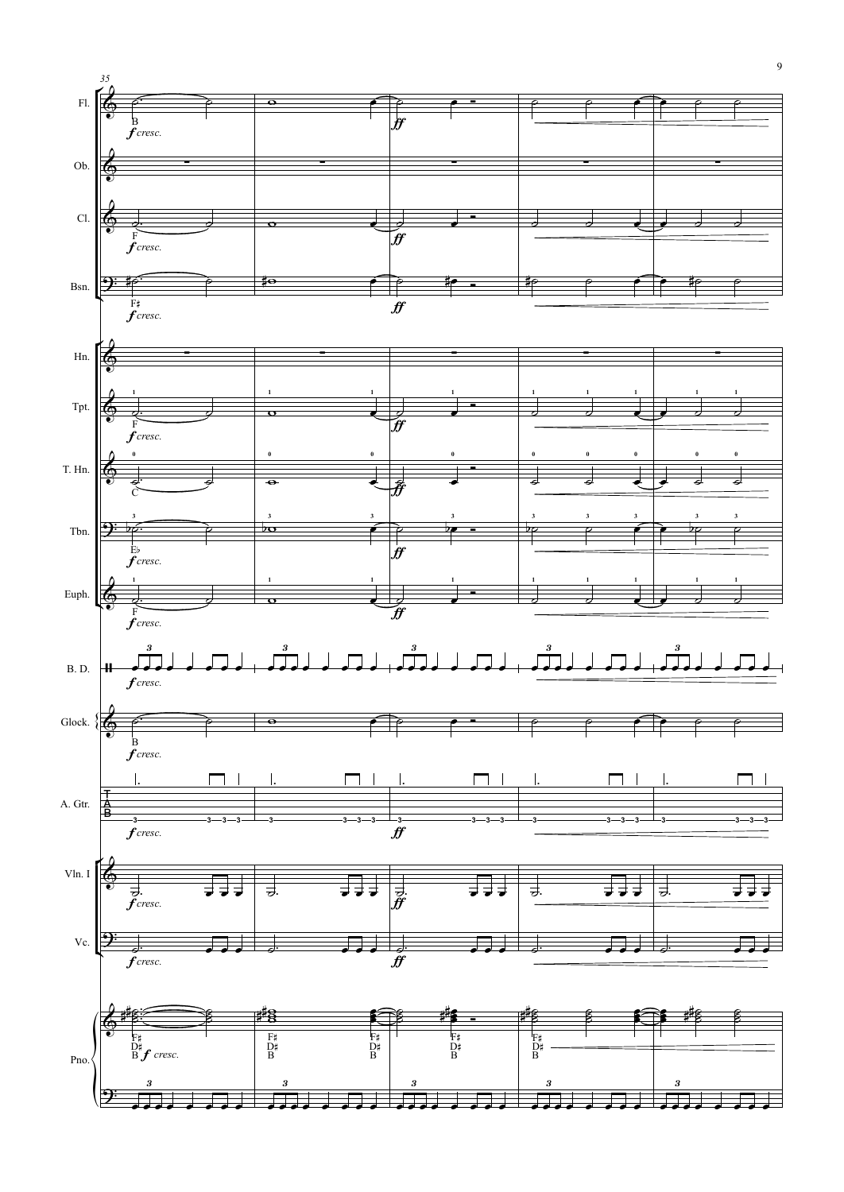![](_page_8_Figure_0.jpeg)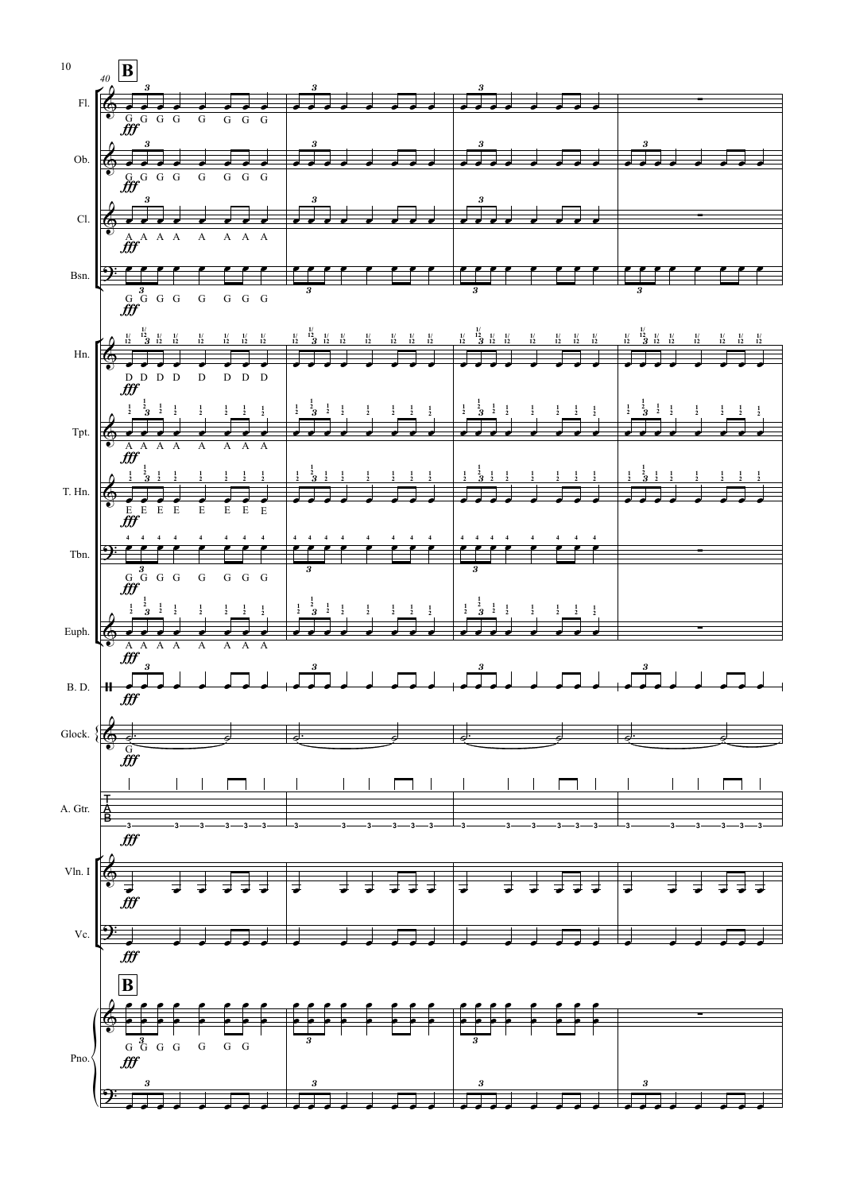![](_page_9_Figure_0.jpeg)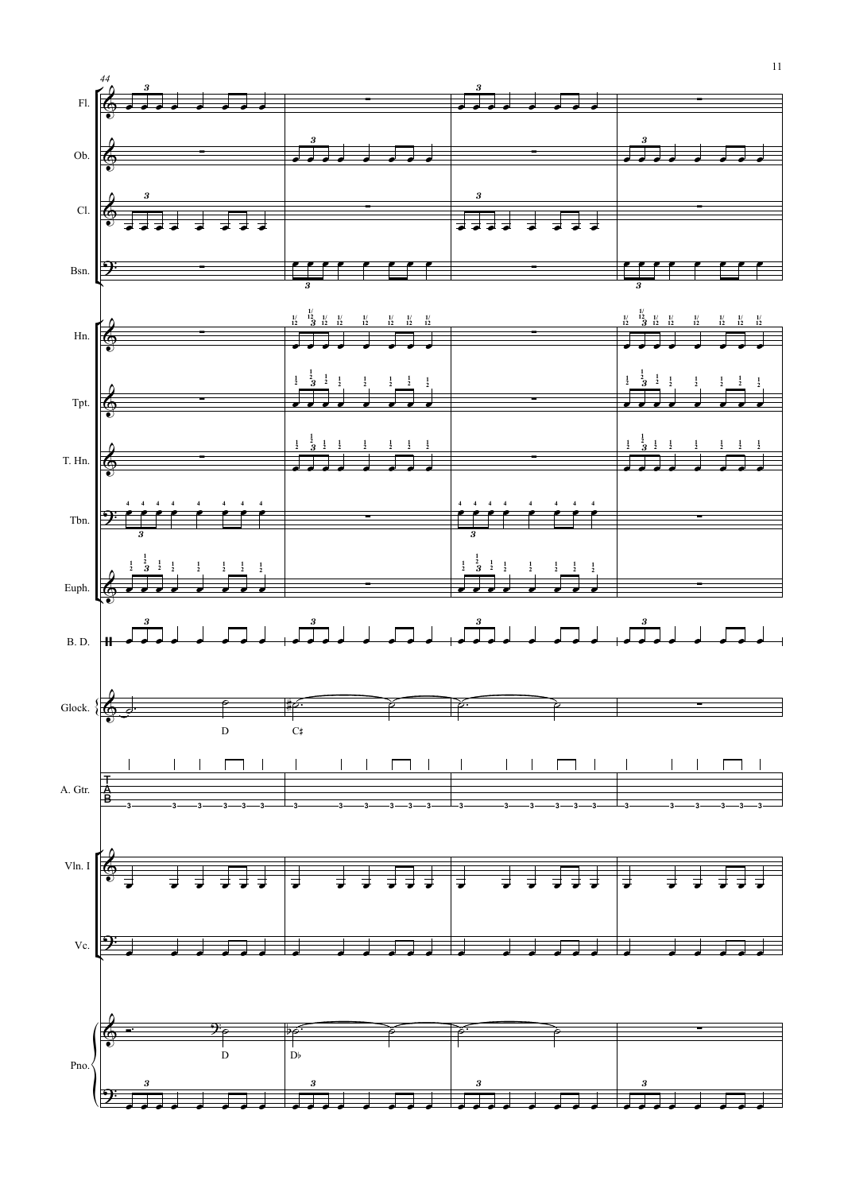![](_page_10_Figure_0.jpeg)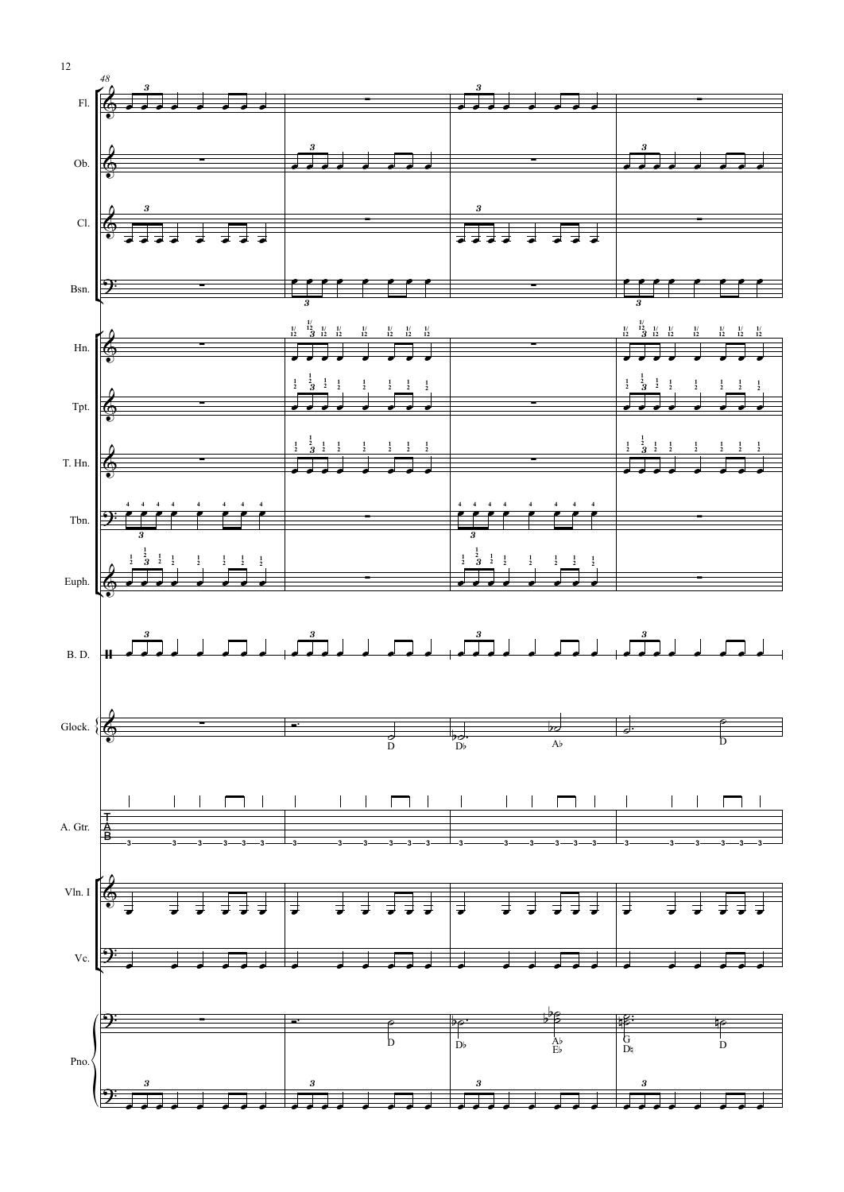![](_page_11_Figure_0.jpeg)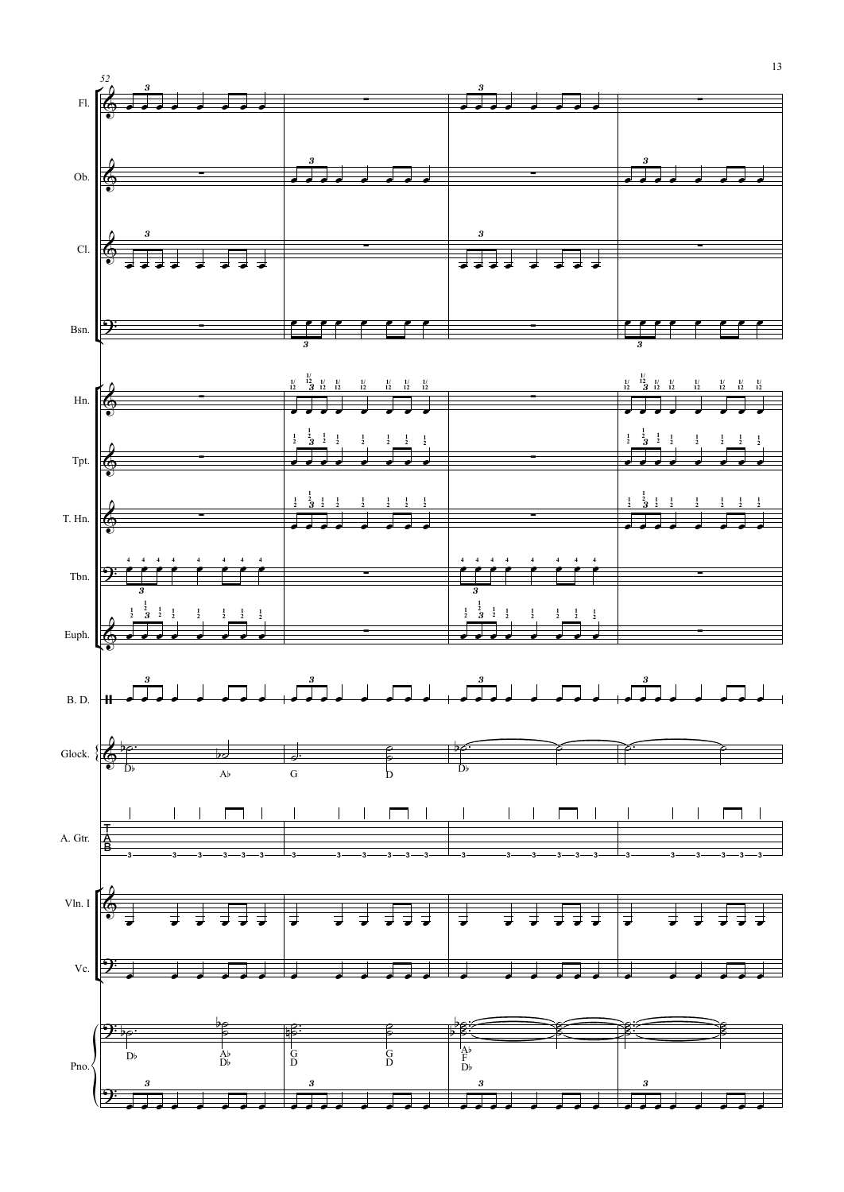![](_page_12_Figure_0.jpeg)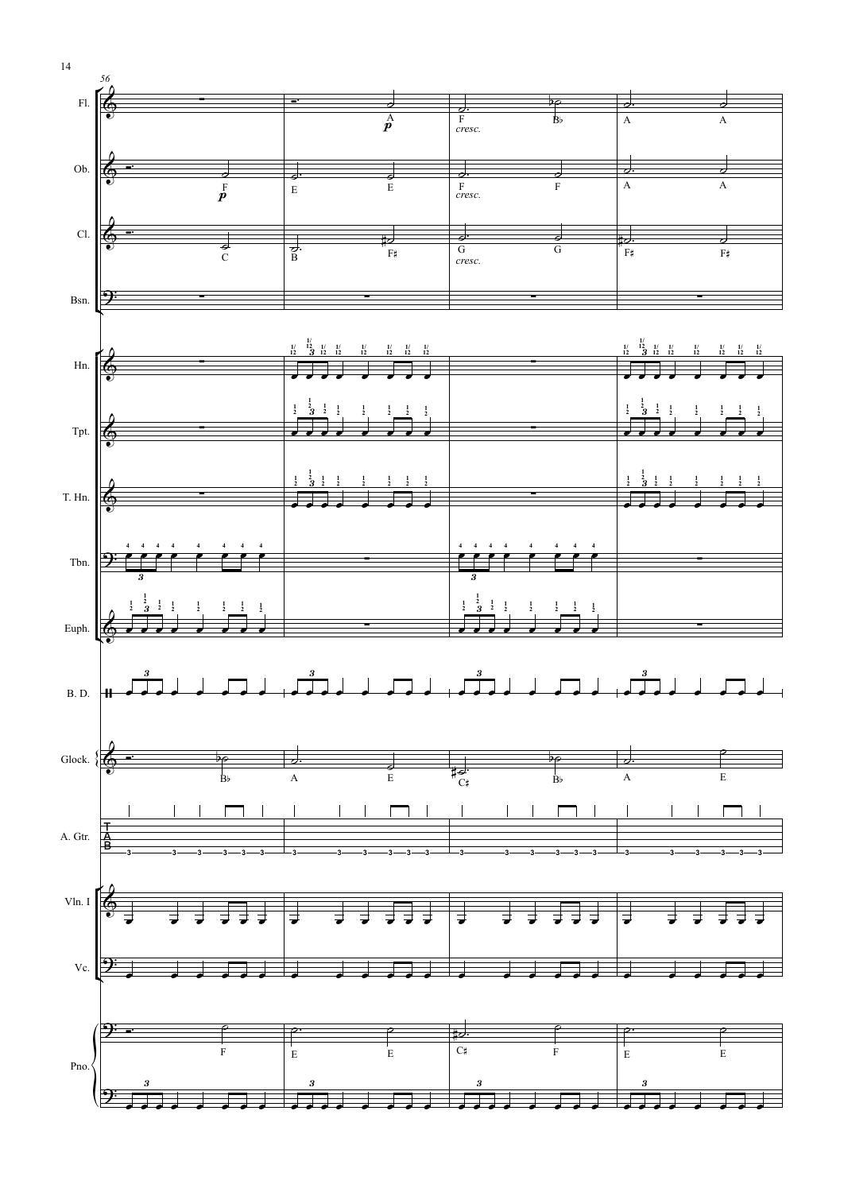![](_page_13_Figure_0.jpeg)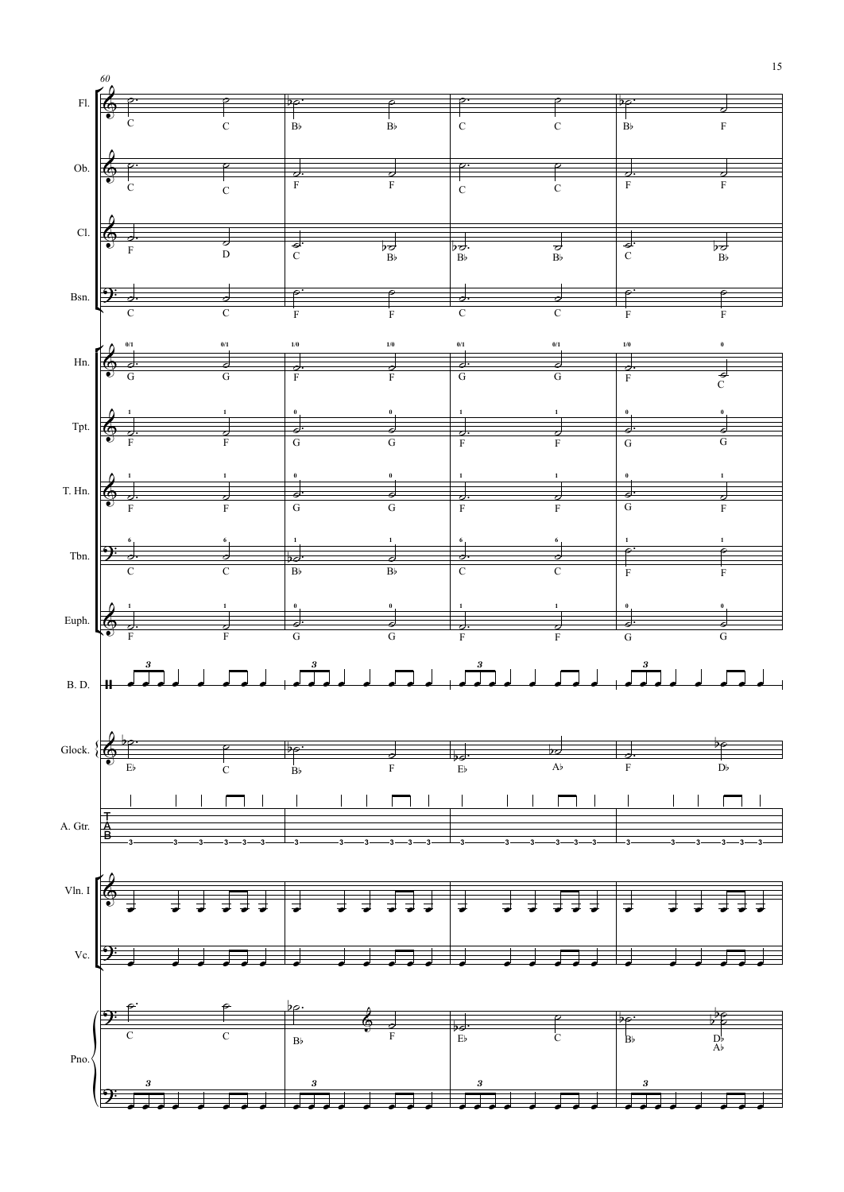![](_page_14_Figure_0.jpeg)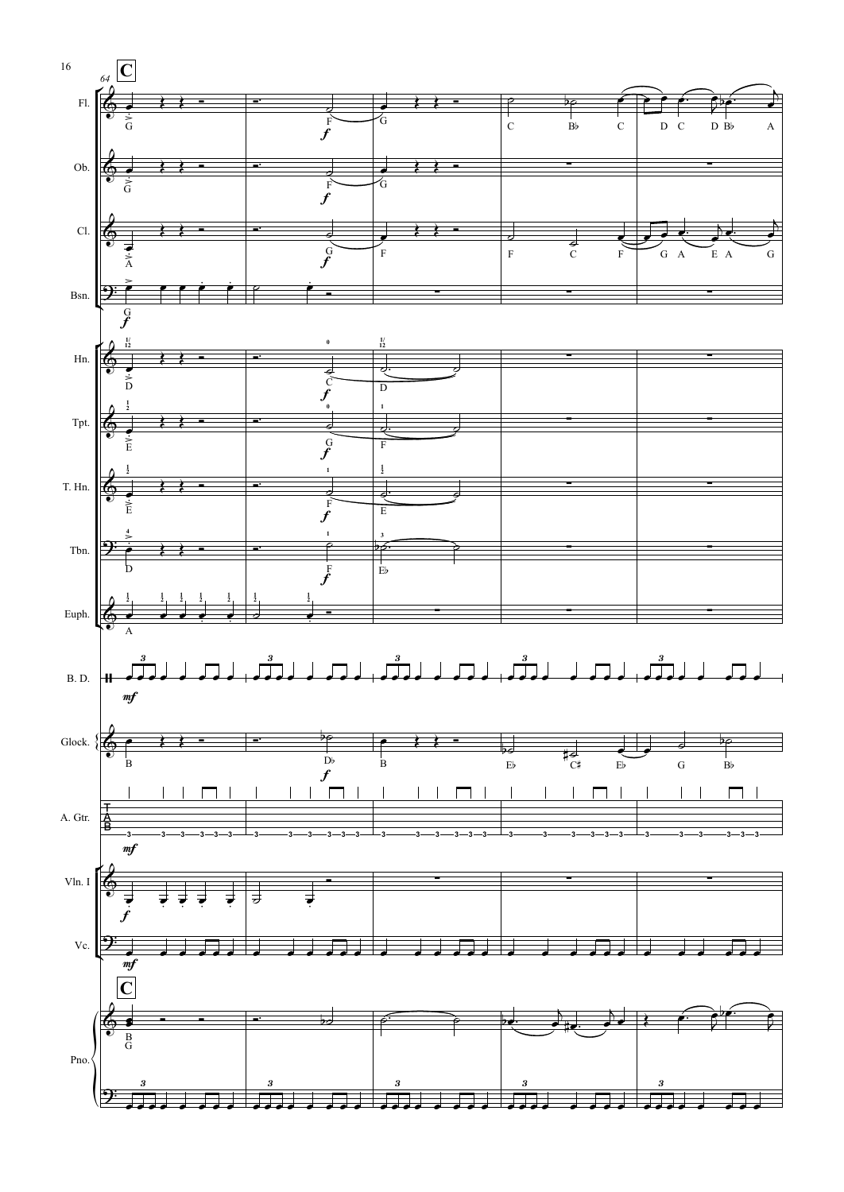![](_page_15_Figure_0.jpeg)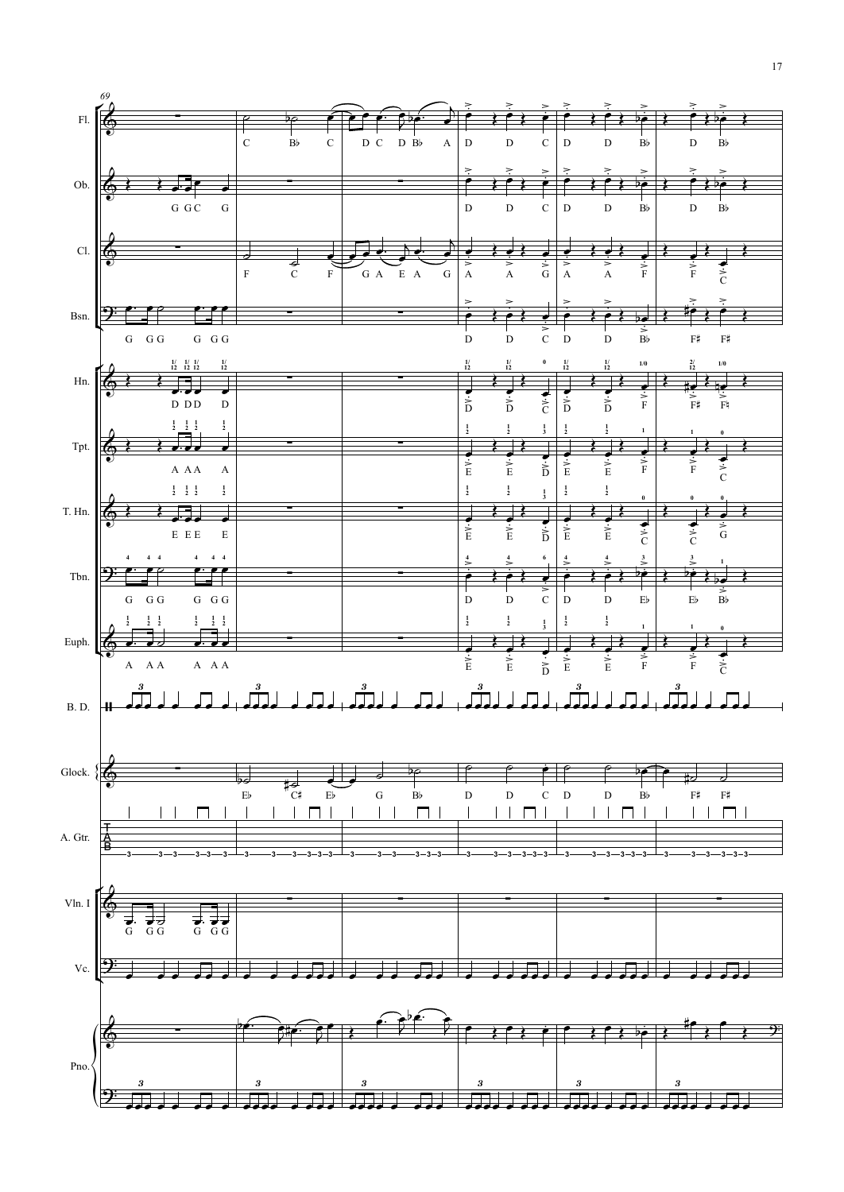![](_page_16_Figure_0.jpeg)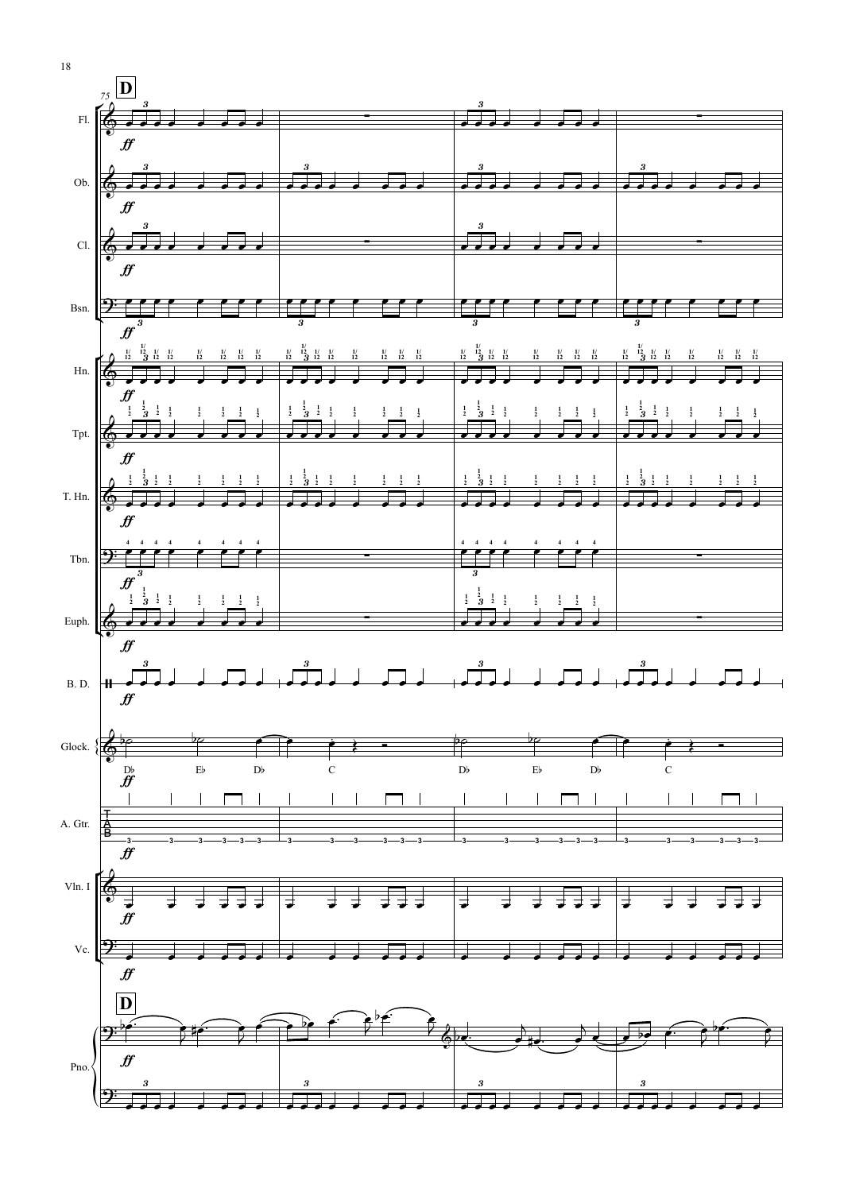![](_page_17_Figure_0.jpeg)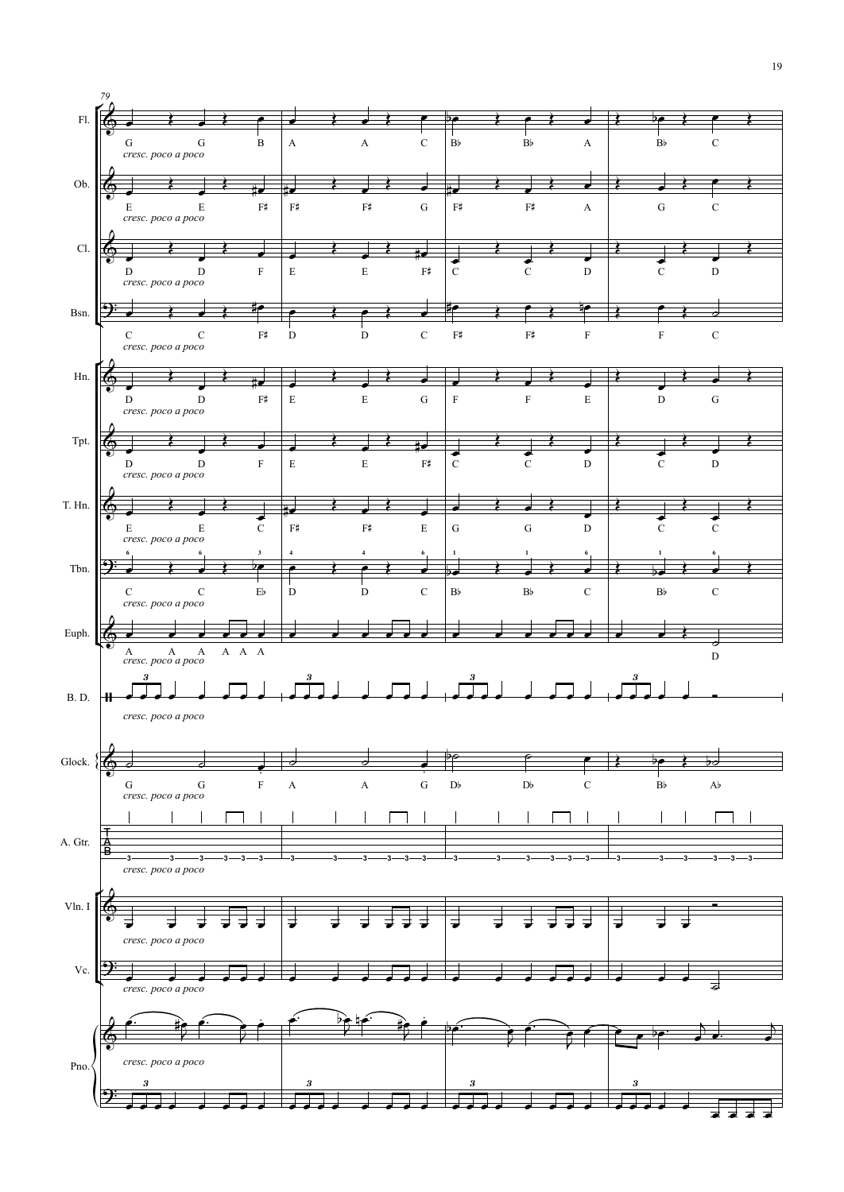![](_page_18_Figure_0.jpeg)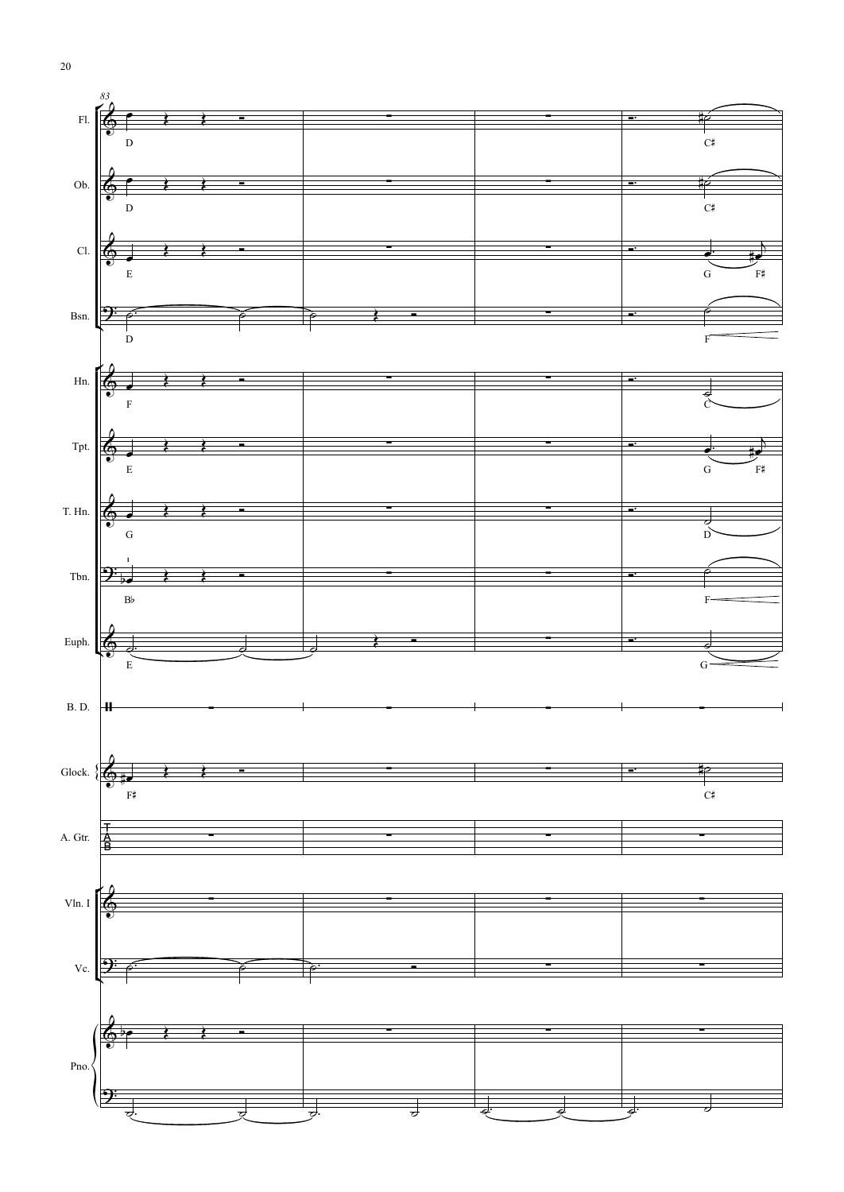![](_page_19_Figure_0.jpeg)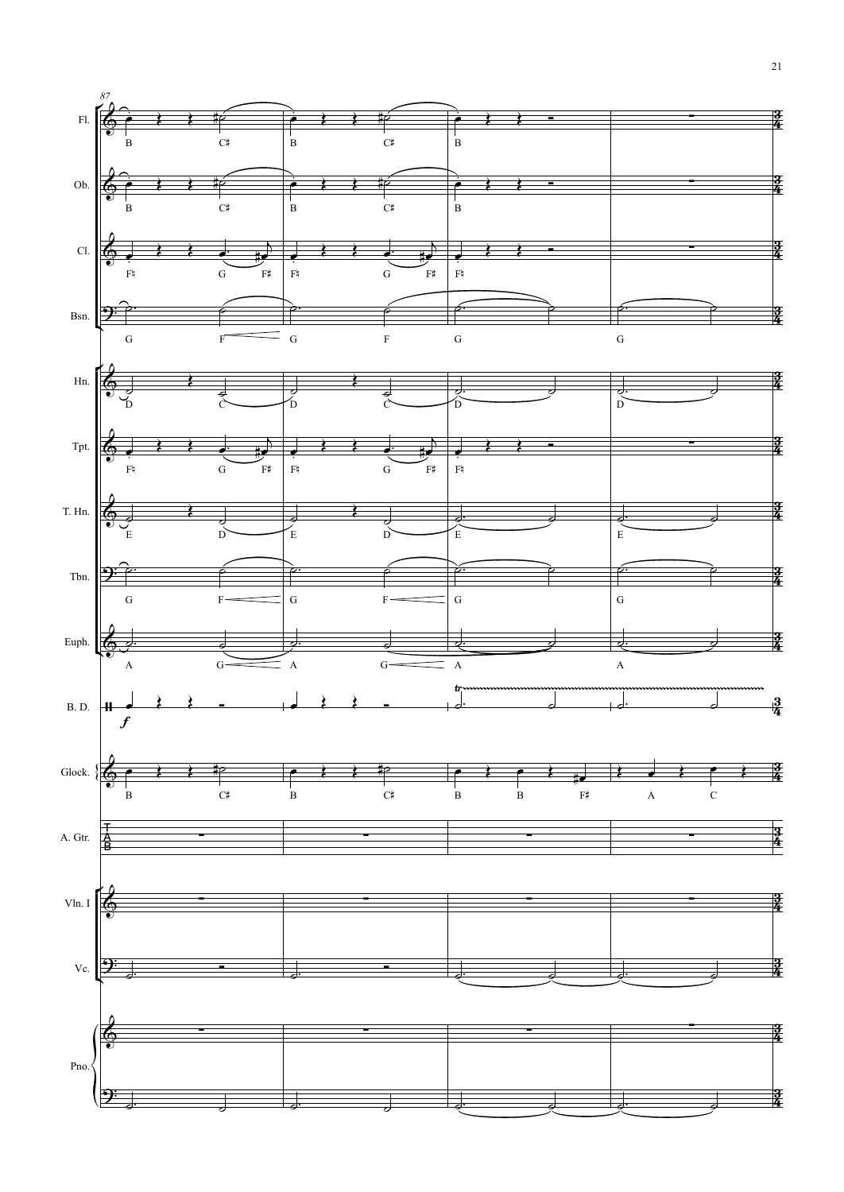![](_page_20_Figure_0.jpeg)